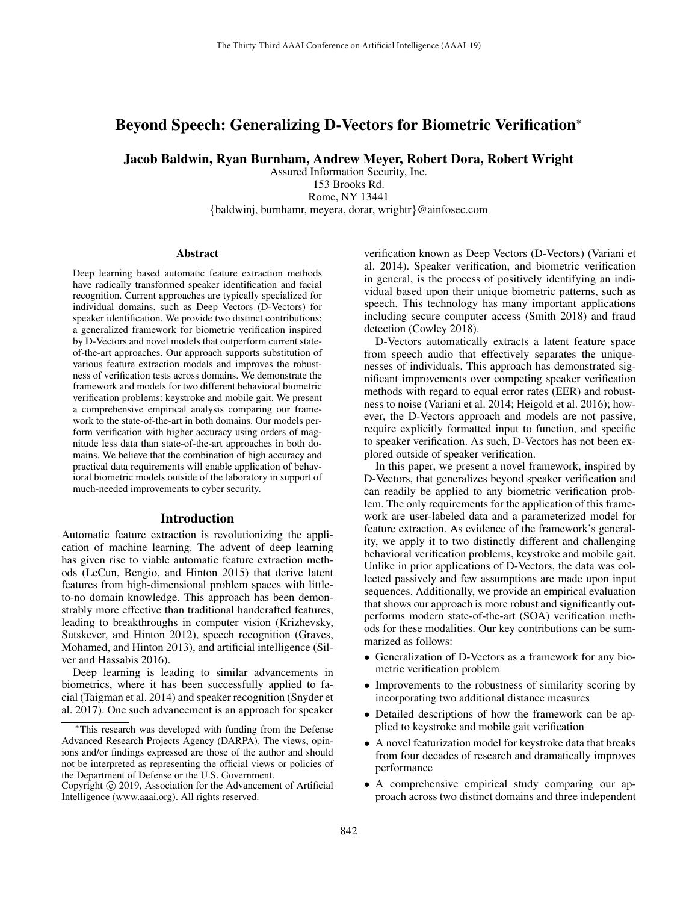# Beyond Speech: Generalizing D-Vectors for Biometric Verification<sup>∗</sup>

Jacob Baldwin, Ryan Burnham, Andrew Meyer, Robert Dora, Robert Wright

Assured Information Security, Inc. 153 Brooks Rd. Rome, NY 13441 {baldwinj, burnhamr, meyera, dorar, wrightr}@ainfosec.com

#### Abstract

Deep learning based automatic feature extraction methods have radically transformed speaker identification and facial recognition. Current approaches are typically specialized for individual domains, such as Deep Vectors (D-Vectors) for speaker identification. We provide two distinct contributions: a generalized framework for biometric verification inspired by D-Vectors and novel models that outperform current stateof-the-art approaches. Our approach supports substitution of various feature extraction models and improves the robustness of verification tests across domains. We demonstrate the framework and models for two different behavioral biometric verification problems: keystroke and mobile gait. We present a comprehensive empirical analysis comparing our framework to the state-of-the-art in both domains. Our models perform verification with higher accuracy using orders of magnitude less data than state-of-the-art approaches in both domains. We believe that the combination of high accuracy and practical data requirements will enable application of behavioral biometric models outside of the laboratory in support of much-needed improvements to cyber security.

### Introduction

Automatic feature extraction is revolutionizing the application of machine learning. The advent of deep learning has given rise to viable automatic feature extraction methods (LeCun, Bengio, and Hinton 2015) that derive latent features from high-dimensional problem spaces with littleto-no domain knowledge. This approach has been demonstrably more effective than traditional handcrafted features, leading to breakthroughs in computer vision (Krizhevsky, Sutskever, and Hinton 2012), speech recognition (Graves, Mohamed, and Hinton 2013), and artificial intelligence (Silver and Hassabis 2016).

Deep learning is leading to similar advancements in biometrics, where it has been successfully applied to facial (Taigman et al. 2014) and speaker recognition (Snyder et al. 2017). One such advancement is an approach for speaker

verification known as Deep Vectors (D-Vectors) (Variani et al. 2014). Speaker verification, and biometric verification in general, is the process of positively identifying an individual based upon their unique biometric patterns, such as speech. This technology has many important applications including secure computer access (Smith 2018) and fraud detection (Cowley 2018).

D-Vectors automatically extracts a latent feature space from speech audio that effectively separates the uniquenesses of individuals. This approach has demonstrated significant improvements over competing speaker verification methods with regard to equal error rates (EER) and robustness to noise (Variani et al. 2014; Heigold et al. 2016); however, the D-Vectors approach and models are not passive, require explicitly formatted input to function, and specific to speaker verification. As such, D-Vectors has not been explored outside of speaker verification.

In this paper, we present a novel framework, inspired by D-Vectors, that generalizes beyond speaker verification and can readily be applied to any biometric verification problem. The only requirements for the application of this framework are user-labeled data and a parameterized model for feature extraction. As evidence of the framework's generality, we apply it to two distinctly different and challenging behavioral verification problems, keystroke and mobile gait. Unlike in prior applications of D-Vectors, the data was collected passively and few assumptions are made upon input sequences. Additionally, we provide an empirical evaluation that shows our approach is more robust and significantly outperforms modern state-of-the-art (SOA) verification methods for these modalities. Our key contributions can be summarized as follows:

- Generalization of D-Vectors as a framework for any biometric verification problem
- Improvements to the robustness of similarity scoring by incorporating two additional distance measures
- Detailed descriptions of how the framework can be applied to keystroke and mobile gait verification
- A novel featurization model for keystroke data that breaks from four decades of research and dramatically improves performance
- A comprehensive empirical study comparing our approach across two distinct domains and three independent

This research was developed with funding from the Defense Advanced Research Projects Agency (DARPA). The views, opinions and/or findings expressed are those of the author and should not be interpreted as representing the official views or policies of the Department of Defense or the U.S. Government.

Copyright © 2019, Association for the Advancement of Artificial Intelligence (www.aaai.org). All rights reserved.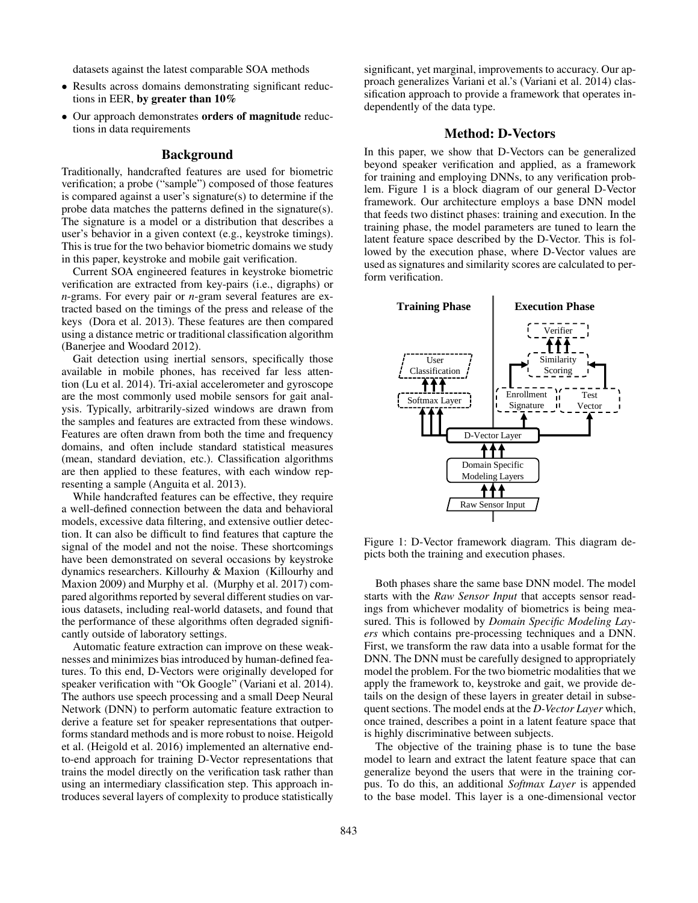datasets against the latest comparable SOA methods

- Results across domains demonstrating significant reductions in EER, by greater than  $10\%$
- Our approach demonstrates orders of magnitude reductions in data requirements

## Background

Traditionally, handcrafted features are used for biometric verification; a probe ("sample") composed of those features is compared against a user's signature(s) to determine if the probe data matches the patterns defined in the signature(s). The signature is a model or a distribution that describes a user's behavior in a given context (e.g., keystroke timings). This is true for the two behavior biometric domains we study in this paper, keystroke and mobile gait verification.

Current SOA engineered features in keystroke biometric verification are extracted from key-pairs (i.e., digraphs) or *n*-grams. For every pair or *n*-gram several features are extracted based on the timings of the press and release of the keys (Dora et al. 2013). These features are then compared using a distance metric or traditional classification algorithm (Banerjee and Woodard 2012).

Gait detection using inertial sensors, specifically those available in mobile phones, has received far less attention (Lu et al. 2014). Tri-axial accelerometer and gyroscope are the most commonly used mobile sensors for gait analysis. Typically, arbitrarily-sized windows are drawn from the samples and features are extracted from these windows. Features are often drawn from both the time and frequency domains, and often include standard statistical measures (mean, standard deviation, etc.). Classification algorithms are then applied to these features, with each window representing a sample (Anguita et al. 2013).

While handcrafted features can be effective, they require a well-defined connection between the data and behavioral models, excessive data filtering, and extensive outlier detection. It can also be difficult to find features that capture the signal of the model and not the noise. These shortcomings have been demonstrated on several occasions by keystroke dynamics researchers. Killourhy & Maxion (Killourhy and Maxion 2009) and Murphy et al. (Murphy et al. 2017) compared algorithms reported by several different studies on various datasets, including real-world datasets, and found that the performance of these algorithms often degraded significantly outside of laboratory settings.

Automatic feature extraction can improve on these weaknesses and minimizes bias introduced by human-defined features. To this end, D-Vectors were originally developed for speaker verification with "Ok Google" (Variani et al. 2014). The authors use speech processing and a small Deep Neural Network (DNN) to perform automatic feature extraction to derive a feature set for speaker representations that outperforms standard methods and is more robust to noise. Heigold et al. (Heigold et al. 2016) implemented an alternative endto-end approach for training D-Vector representations that trains the model directly on the verification task rather than using an intermediary classification step. This approach introduces several layers of complexity to produce statistically

significant, yet marginal, improvements to accuracy. Our approach generalizes Variani et al.'s (Variani et al. 2014) classification approach to provide a framework that operates independently of the data type.

## Method: D-Vectors

In this paper, we show that D-Vectors can be generalized beyond speaker verification and applied, as a framework for training and employing DNNs, to any verification problem. Figure 1 is a block diagram of our general D-Vector framework. Our architecture employs a base DNN model that feeds two distinct phases: training and execution. In the training phase, the model parameters are tuned to learn the latent feature space described by the D-Vector. This is followed by the execution phase, where D-Vector values are used as signatures and similarity scores are calculated to perform verification.



Figure 1: D-Vector framework diagram. This diagram depicts both the training and execution phases.

Both phases share the same base DNN model. The model starts with the *Raw Sensor Input* that accepts sensor readings from whichever modality of biometrics is being measured. This is followed by *Domain Specific Modeling Layers* which contains pre-processing techniques and a DNN. First, we transform the raw data into a usable format for the DNN. The DNN must be carefully designed to appropriately model the problem. For the two biometric modalities that we apply the framework to, keystroke and gait, we provide details on the design of these layers in greater detail in subsequent sections. The model ends at the *D-Vector Layer* which, once trained, describes a point in a latent feature space that is highly discriminative between subjects.

The objective of the training phase is to tune the base model to learn and extract the latent feature space that can generalize beyond the users that were in the training corpus. To do this, an additional *Softmax Layer* is appended to the base model. This layer is a one-dimensional vector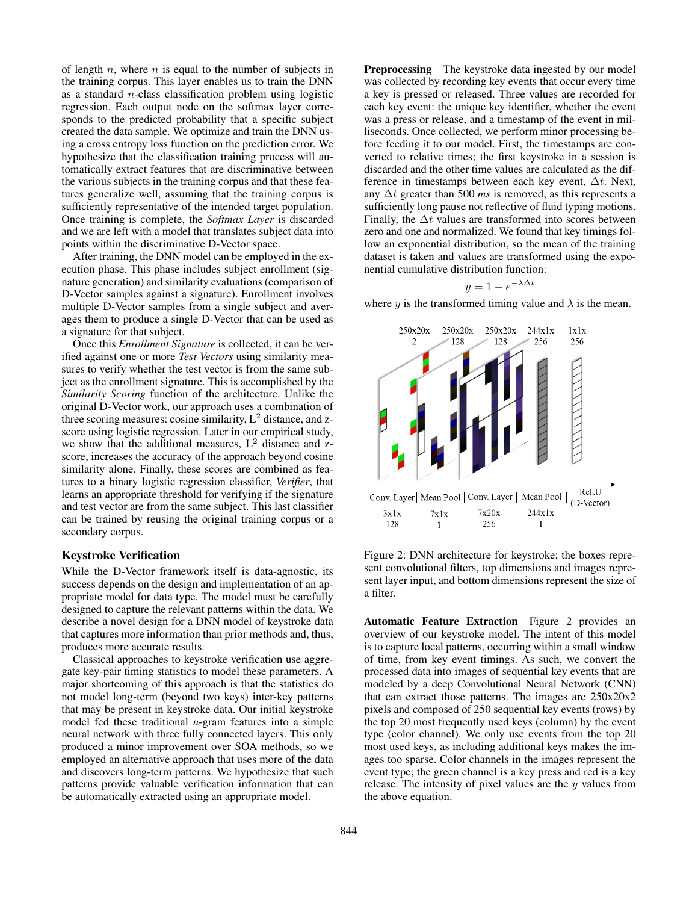of length  $n$ , where  $n$  is equal to the number of subjects in the training corpus. This layer enables us to train the DNN as a standard n-class classification problem using logistic regression. Each output node on the softmax layer corresponds to the predicted probability that a specific subject created the data sample. We optimize and train the DNN using a cross entropy loss function on the prediction error. We hypothesize that the classification training process will automatically extract features that are discriminative between the various subjects in the training corpus and that these features generalize well, assuming that the training corpus is sufficiently representative of the intended target population. Once training is complete, the *Softmax Layer* is discarded and we are left with a model that translates subject data into points within the discriminative D-Vector space.

After training, the DNN model can be employed in the execution phase. This phase includes subject enrollment (signature generation) and similarity evaluations (comparison of D-Vector samples against a signature). Enrollment involves multiple D-Vector samples from a single subject and averages them to produce a single D-Vector that can be used as a signature for that subject.

Once this *Enrollment Signature* is collected, it can be verified against one or more *Test Vectors* using similarity measures to verify whether the test vector is from the same subject as the enrollment signature. This is accomplished by the *Similarity Scoring* function of the architecture. Unlike the original D-Vector work, our approach uses a combination of three scoring measures: cosine similarity,  $L^2$  distance, and zscore using logistic regression. Later in our empirical study, we show that the additional measures,  $L^2$  distance and zscore, increases the accuracy of the approach beyond cosine similarity alone. Finally, these scores are combined as features to a binary logistic regression classifier, *Verifier*, that learns an appropriate threshold for verifying if the signature and test vector are from the same subject. This last classifier can be trained by reusing the original training corpus or a secondary corpus.

## Keystroke Verification

While the D-Vector framework itself is data-agnostic, its success depends on the design and implementation of an appropriate model for data type. The model must be carefully designed to capture the relevant patterns within the data. We describe a novel design for a DNN model of keystroke data that captures more information than prior methods and, thus, produces more accurate results.

Classical approaches to keystroke verification use aggregate key-pair timing statistics to model these parameters. A major shortcoming of this approach is that the statistics do not model long-term (beyond two keys) inter-key patterns that may be present in keystroke data. Our initial keystroke model fed these traditional *n*-gram features into a simple neural network with three fully connected layers. This only produced a minor improvement over SOA methods, so we employed an alternative approach that uses more of the data and discovers long-term patterns. We hypothesize that such patterns provide valuable verification information that can be automatically extracted using an appropriate model.

**Preprocessing** The keystroke data ingested by our model was collected by recording key events that occur every time a key is pressed or released. Three values are recorded for each key event: the unique key identifier, whether the event was a press or release, and a timestamp of the event in milliseconds. Once collected, we perform minor processing before feeding it to our model. First, the timestamps are converted to relative times; the first keystroke in a session is discarded and the other time values are calculated as the difference in timestamps between each key event,  $\Delta t$ . Next, any ∆t greater than 500 *ms* is removed, as this represents a sufficiently long pause not reflective of fluid typing motions. Finally, the  $\Delta t$  values are transformed into scores between zero and one and normalized. We found that key timings follow an exponential distribution, so the mean of the training dataset is taken and values are transformed using the exponential cumulative distribution function:

$$
y = 1 - e^{-\lambda \Delta t}
$$

where y is the transformed timing value and  $\lambda$  is the mean.



Figure 2: DNN architecture for keystroke; the boxes represent convolutional filters, top dimensions and images represent layer input, and bottom dimensions represent the size of a filter.

Automatic Feature Extraction Figure 2 provides an overview of our keystroke model. The intent of this model is to capture local patterns, occurring within a small window of time, from key event timings. As such, we convert the processed data into images of sequential key events that are modeled by a deep Convolutional Neural Network (CNN) that can extract those patterns. The images are 250x20x2 pixels and composed of 250 sequential key events (rows) by the top 20 most frequently used keys (column) by the event type (color channel). We only use events from the top 20 most used keys, as including additional keys makes the images too sparse. Color channels in the images represent the event type; the green channel is a key press and red is a key release. The intensity of pixel values are the  $y$  values from the above equation.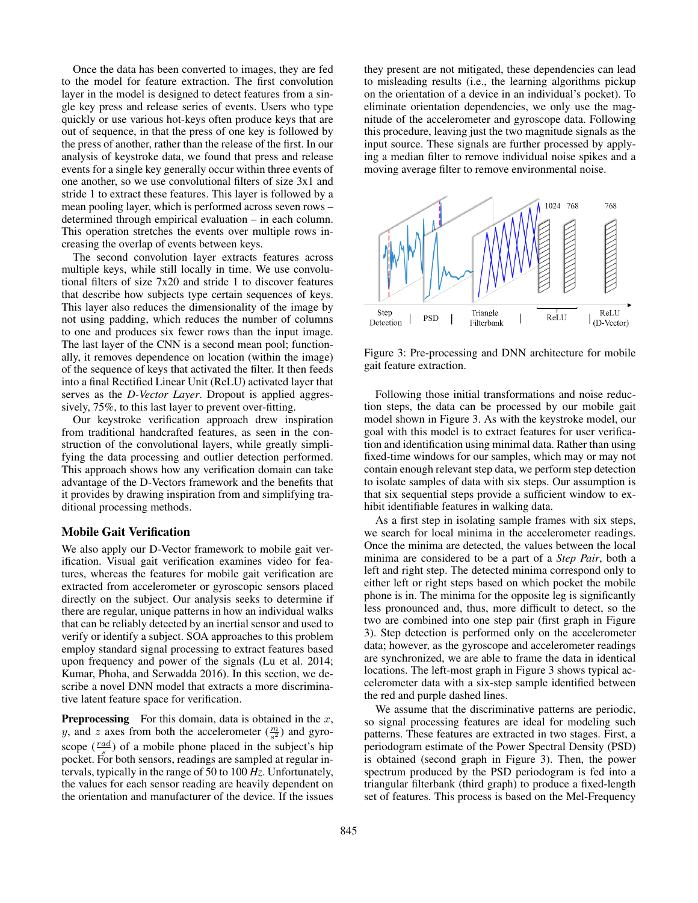Once the data has been converted to images, they are fed to the model for feature extraction. The first convolution layer in the model is designed to detect features from a single key press and release series of events. Users who type quickly or use various hot-keys often produce keys that are out of sequence, in that the press of one key is followed by the press of another, rather than the release of the first. In our analysis of keystroke data, we found that press and release events for a single key generally occur within three events of one another, so we use convolutional filters of size 3x1 and stride 1 to extract these features. This layer is followed by a mean pooling layer, which is performed across seven rows – determined through empirical evaluation – in each column. This operation stretches the events over multiple rows increasing the overlap of events between keys.

The second convolution layer extracts features across multiple keys, while still locally in time. We use convolutional filters of size 7x20 and stride 1 to discover features that describe how subjects type certain sequences of keys. This layer also reduces the dimensionality of the image by not using padding, which reduces the number of columns to one and produces six fewer rows than the input image. The last layer of the CNN is a second mean pool; functionally, it removes dependence on location (within the image) of the sequence of keys that activated the filter. It then feeds into a final Rectified Linear Unit (ReLU) activated layer that serves as the *D-Vector Layer*. Dropout is applied aggressively, 75%, to this last layer to prevent over-fitting.

Our keystroke verification approach drew inspiration from traditional handcrafted features, as seen in the construction of the convolutional layers, while greatly simplifying the data processing and outlier detection performed. This approach shows how any verification domain can take advantage of the D-Vectors framework and the benefits that it provides by drawing inspiration from and simplifying traditional processing methods.

### Mobile Gait Verification

We also apply our D-Vector framework to mobile gait verification. Visual gait verification examines video for features, whereas the features for mobile gait verification are extracted from accelerometer or gyroscopic sensors placed directly on the subject. Our analysis seeks to determine if there are regular, unique patterns in how an individual walks that can be reliably detected by an inertial sensor and used to verify or identify a subject. SOA approaches to this problem employ standard signal processing to extract features based upon frequency and power of the signals (Lu et al. 2014; Kumar, Phoha, and Serwadda 2016). In this section, we describe a novel DNN model that extracts a more discriminative latent feature space for verification.

**Preprocessing** For this domain, data is obtained in the  $x$ , y, and z axes from both the accelerometer  $(\frac{m}{s^2})$  and gyroscope  $(\frac{rad}{s})$  of a mobile phone placed in the subject's hip pocket. For both sensors, readings are sampled at regular intervals, typically in the range of 50 to 100 *Hz*. Unfortunately, the values for each sensor reading are heavily dependent on the orientation and manufacturer of the device. If the issues

they present are not mitigated, these dependencies can lead to misleading results (i.e., the learning algorithms pickup on the orientation of a device in an individual's pocket). To eliminate orientation dependencies, we only use the magnitude of the accelerometer and gyroscope data. Following this procedure, leaving just the two magnitude signals as the input source. These signals are further processed by applying a median filter to remove individual noise spikes and a moving average filter to remove environmental noise.



Figure 3: Pre-processing and DNN architecture for mobile gait feature extraction.

Following those initial transformations and noise reduction steps, the data can be processed by our mobile gait model shown in Figure 3. As with the keystroke model, our goal with this model is to extract features for user verification and identification using minimal data. Rather than using fixed-time windows for our samples, which may or may not contain enough relevant step data, we perform step detection to isolate samples of data with six steps. Our assumption is that six sequential steps provide a sufficient window to exhibit identifiable features in walking data.

As a first step in isolating sample frames with six steps, we search for local minima in the accelerometer readings. Once the minima are detected, the values between the local minima are considered to be a part of a *Step Pair*, both a left and right step. The detected minima correspond only to either left or right steps based on which pocket the mobile phone is in. The minima for the opposite leg is significantly less pronounced and, thus, more difficult to detect, so the two are combined into one step pair (first graph in Figure 3). Step detection is performed only on the accelerometer data; however, as the gyroscope and accelerometer readings are synchronized, we are able to frame the data in identical locations. The left-most graph in Figure 3 shows typical accelerometer data with a six-step sample identified between the red and purple dashed lines.

We assume that the discriminative patterns are periodic, so signal processing features are ideal for modeling such patterns. These features are extracted in two stages. First, a periodogram estimate of the Power Spectral Density (PSD) is obtained (second graph in Figure 3). Then, the power spectrum produced by the PSD periodogram is fed into a triangular filterbank (third graph) to produce a fixed-length set of features. This process is based on the Mel-Frequency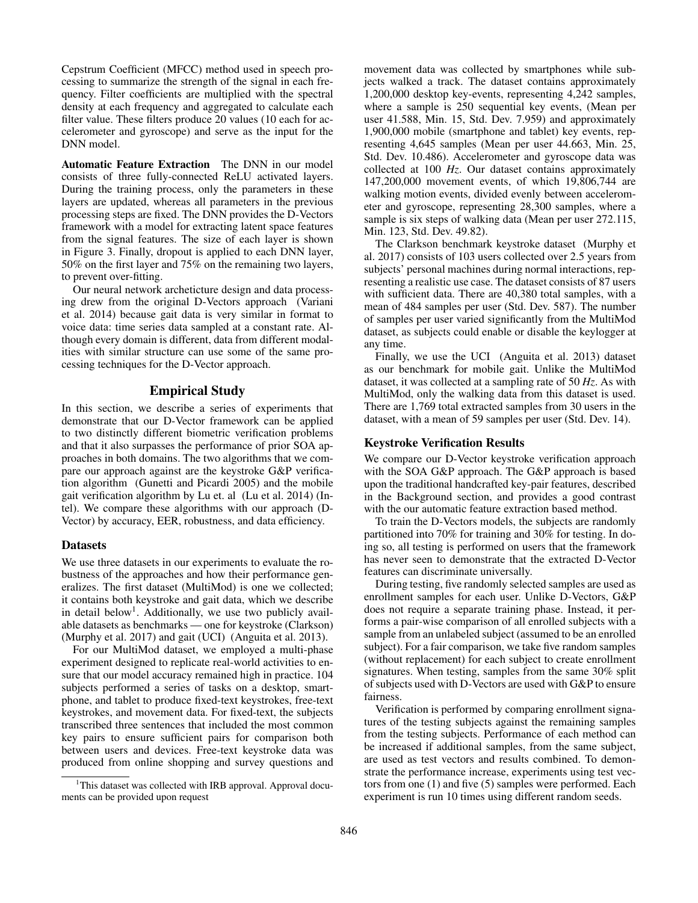Cepstrum Coefficient (MFCC) method used in speech processing to summarize the strength of the signal in each frequency. Filter coefficients are multiplied with the spectral density at each frequency and aggregated to calculate each filter value. These filters produce 20 values (10 each for accelerometer and gyroscope) and serve as the input for the DNN model.

Automatic Feature Extraction The DNN in our model consists of three fully-connected ReLU activated layers. During the training process, only the parameters in these layers are updated, whereas all parameters in the previous processing steps are fixed. The DNN provides the D-Vectors framework with a model for extracting latent space features from the signal features. The size of each layer is shown in Figure 3. Finally, dropout is applied to each DNN layer, 50% on the first layer and 75% on the remaining two layers, to prevent over-fitting.

Our neural network archeticture design and data processing drew from the original D-Vectors approach (Variani et al. 2014) because gait data is very similar in format to voice data: time series data sampled at a constant rate. Although every domain is different, data from different modalities with similar structure can use some of the same processing techniques for the D-Vector approach.

## Empirical Study

In this section, we describe a series of experiments that demonstrate that our D-Vector framework can be applied to two distinctly different biometric verification problems and that it also surpasses the performance of prior SOA approaches in both domains. The two algorithms that we compare our approach against are the keystroke G&P verification algorithm (Gunetti and Picardi 2005) and the mobile gait verification algorithm by Lu et. al (Lu et al. 2014) (Intel). We compare these algorithms with our approach (D-Vector) by accuracy, EER, robustness, and data efficiency.

## **Datasets**

We use three datasets in our experiments to evaluate the robustness of the approaches and how their performance generalizes. The first dataset (MultiMod) is one we collected; it contains both keystroke and gait data, which we describe in detail below<sup>1</sup>. Additionally, we use two publicly available datasets as benchmarks — one for keystroke (Clarkson) (Murphy et al. 2017) and gait (UCI) (Anguita et al. 2013).

For our MultiMod dataset, we employed a multi-phase experiment designed to replicate real-world activities to ensure that our model accuracy remained high in practice. 104 subjects performed a series of tasks on a desktop, smartphone, and tablet to produce fixed-text keystrokes, free-text keystrokes, and movement data. For fixed-text, the subjects transcribed three sentences that included the most common key pairs to ensure sufficient pairs for comparison both between users and devices. Free-text keystroke data was produced from online shopping and survey questions and

movement data was collected by smartphones while subjects walked a track. The dataset contains approximately 1,200,000 desktop key-events, representing 4,242 samples, where a sample is 250 sequential key events, (Mean per user 41.588, Min. 15, Std. Dev. 7.959) and approximately 1,900,000 mobile (smartphone and tablet) key events, representing 4,645 samples (Mean per user 44.663, Min. 25, Std. Dev. 10.486). Accelerometer and gyroscope data was collected at 100 *Hz*. Our dataset contains approximately 147,200,000 movement events, of which 19,806,744 are walking motion events, divided evenly between accelerometer and gyroscope, representing 28,300 samples, where a sample is six steps of walking data (Mean per user 272.115, Min. 123, Std. Dev. 49.82).

The Clarkson benchmark keystroke dataset (Murphy et al. 2017) consists of 103 users collected over 2.5 years from subjects' personal machines during normal interactions, representing a realistic use case. The dataset consists of 87 users with sufficient data. There are 40,380 total samples, with a mean of 484 samples per user (Std. Dev. 587). The number of samples per user varied significantly from the MultiMod dataset, as subjects could enable or disable the keylogger at any time.

Finally, we use the UCI (Anguita et al. 2013) dataset as our benchmark for mobile gait. Unlike the MultiMod dataset, it was collected at a sampling rate of 50 *Hz*. As with MultiMod, only the walking data from this dataset is used. There are 1,769 total extracted samples from 30 users in the dataset, with a mean of 59 samples per user (Std. Dev. 14).

### Keystroke Verification Results

We compare our D-Vector keystroke verification approach with the SOA G&P approach. The G&P approach is based upon the traditional handcrafted key-pair features, described in the Background section, and provides a good contrast with the our automatic feature extraction based method.

To train the D-Vectors models, the subjects are randomly partitioned into 70% for training and 30% for testing. In doing so, all testing is performed on users that the framework has never seen to demonstrate that the extracted D-Vector features can discriminate universally.

During testing, five randomly selected samples are used as enrollment samples for each user. Unlike D-Vectors, G&P does not require a separate training phase. Instead, it performs a pair-wise comparison of all enrolled subjects with a sample from an unlabeled subject (assumed to be an enrolled subject). For a fair comparison, we take five random samples (without replacement) for each subject to create enrollment signatures. When testing, samples from the same 30% split of subjects used with D-Vectors are used with G&P to ensure fairness.

Verification is performed by comparing enrollment signatures of the testing subjects against the remaining samples from the testing subjects. Performance of each method can be increased if additional samples, from the same subject, are used as test vectors and results combined. To demonstrate the performance increase, experiments using test vectors from one (1) and five (5) samples were performed. Each experiment is run 10 times using different random seeds.

<sup>&</sup>lt;sup>1</sup>This dataset was collected with IRB approval. Approval documents can be provided upon request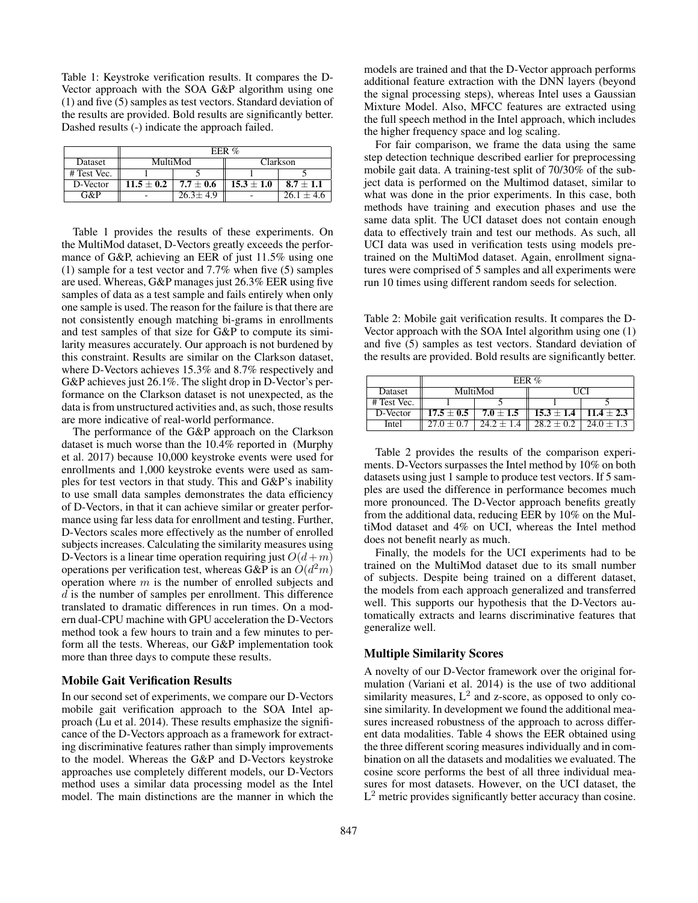Table 1: Keystroke verification results. It compares the D-Vector approach with the SOA G&P algorithm using one (1) and five (5) samples as test vectors. Standard deviation of the results are provided. Bold results are significantly better. Dashed results (-) indicate the approach failed.

|             | EER $%$        |                |                |                |
|-------------|----------------|----------------|----------------|----------------|
| Dataset     | MultiMod       |                | Clarkson       |                |
| # Test Vec. |                |                |                |                |
| D-Vector    | $11.5 \pm 0.2$ | $7.7 \pm 0.6$  | $15.3 \pm 1.0$ | $8.7 + 1.1$    |
| $G\&P$      |                | $26.3 \pm 4.9$ |                | $26.1 \pm 4.6$ |

Table 1 provides the results of these experiments. On the MultiMod dataset, D-Vectors greatly exceeds the performance of G&P, achieving an EER of just 11.5% using one (1) sample for a test vector and 7.7% when five (5) samples are used. Whereas, G&P manages just 26.3% EER using five samples of data as a test sample and fails entirely when only one sample is used. The reason for the failure is that there are not consistently enough matching bi-grams in enrollments and test samples of that size for G&P to compute its similarity measures accurately. Our approach is not burdened by this constraint. Results are similar on the Clarkson dataset, where D-Vectors achieves 15.3% and 8.7% respectively and G&P achieves just 26.1%. The slight drop in D-Vector's performance on the Clarkson dataset is not unexpected, as the data is from unstructured activities and, as such, those results are more indicative of real-world performance.

The performance of the G&P approach on the Clarkson dataset is much worse than the 10.4% reported in (Murphy et al. 2017) because 10,000 keystroke events were used for enrollments and 1,000 keystroke events were used as samples for test vectors in that study. This and G&P's inability to use small data samples demonstrates the data efficiency of D-Vectors, in that it can achieve similar or greater performance using far less data for enrollment and testing. Further, D-Vectors scales more effectively as the number of enrolled subjects increases. Calculating the similarity measures using D-Vectors is a linear time operation requiring just  $O(d+m)$ operations per verification test, whereas G&P is an  $O(d^2m)$ operation where  $m$  is the number of enrolled subjects and d is the number of samples per enrollment. This difference translated to dramatic differences in run times. On a modern dual-CPU machine with GPU acceleration the D-Vectors method took a few hours to train and a few minutes to perform all the tests. Whereas, our G&P implementation took more than three days to compute these results.

#### Mobile Gait Verification Results

In our second set of experiments, we compare our D-Vectors mobile gait verification approach to the SOA Intel approach (Lu et al. 2014). These results emphasize the significance of the D-Vectors approach as a framework for extracting discriminative features rather than simply improvements to the model. Whereas the G&P and D-Vectors keystroke approaches use completely different models, our D-Vectors method uses a similar data processing model as the Intel model. The main distinctions are the manner in which the models are trained and that the D-Vector approach performs additional feature extraction with the DNN layers (beyond the signal processing steps), whereas Intel uses a Gaussian Mixture Model. Also, MFCC features are extracted using the full speech method in the Intel approach, which includes the higher frequency space and log scaling.

For fair comparison, we frame the data using the same step detection technique described earlier for preprocessing mobile gait data. A training-test split of 70/30% of the subject data is performed on the Multimod dataset, similar to what was done in the prior experiments. In this case, both methods have training and execution phases and use the same data split. The UCI dataset does not contain enough data to effectively train and test our methods. As such, all UCI data was used in verification tests using models pretrained on the MultiMod dataset. Again, enrollment signatures were comprised of 5 samples and all experiments were run 10 times using different random seeds for selection.

Table 2: Mobile gait verification results. It compares the D-Vector approach with the SOA Intel algorithm using one (1) and five (5) samples as test vectors. Standard deviation of the results are provided. Bold results are significantly better.

|              | EER $%$        |               |                                 |                |  |
|--------------|----------------|---------------|---------------------------------|----------------|--|
| Dataset      | MultiMod       |               | <b>TICI</b>                     |                |  |
| # Test Vec.  |                |               |                                 |                |  |
| D-Vector     | $17.5 \pm 0.5$ | $7.0 \pm 1.5$ | $15.3 \pm 1.4$   $11.4 \pm 2.3$ |                |  |
| <b>Intel</b> | $27.0 + 0.7$   | $24.2 + 1.4$  | $28.2 + 0.2$                    | $24.0 \pm 1.3$ |  |

Table 2 provides the results of the comparison experiments. D-Vectors surpasses the Intel method by 10% on both datasets using just 1 sample to produce test vectors. If 5 samples are used the difference in performance becomes much more pronounced. The D-Vector approach benefits greatly from the additional data, reducing EER by 10% on the MultiMod dataset and 4% on UCI, whereas the Intel method does not benefit nearly as much.

Finally, the models for the UCI experiments had to be trained on the MultiMod dataset due to its small number of subjects. Despite being trained on a different dataset, the models from each approach generalized and transferred well. This supports our hypothesis that the D-Vectors automatically extracts and learns discriminative features that generalize well.

## Multiple Similarity Scores

A novelty of our D-Vector framework over the original formulation (Variani et al. 2014) is the use of two additional similarity measures,  $L^2$  and z-score, as opposed to only cosine similarity. In development we found the additional measures increased robustness of the approach to across different data modalities. Table 4 shows the EER obtained using the three different scoring measures individually and in combination on all the datasets and modalities we evaluated. The cosine score performs the best of all three individual measures for most datasets. However, on the UCI dataset, the  $L<sup>2</sup>$  metric provides significantly better accuracy than cosine.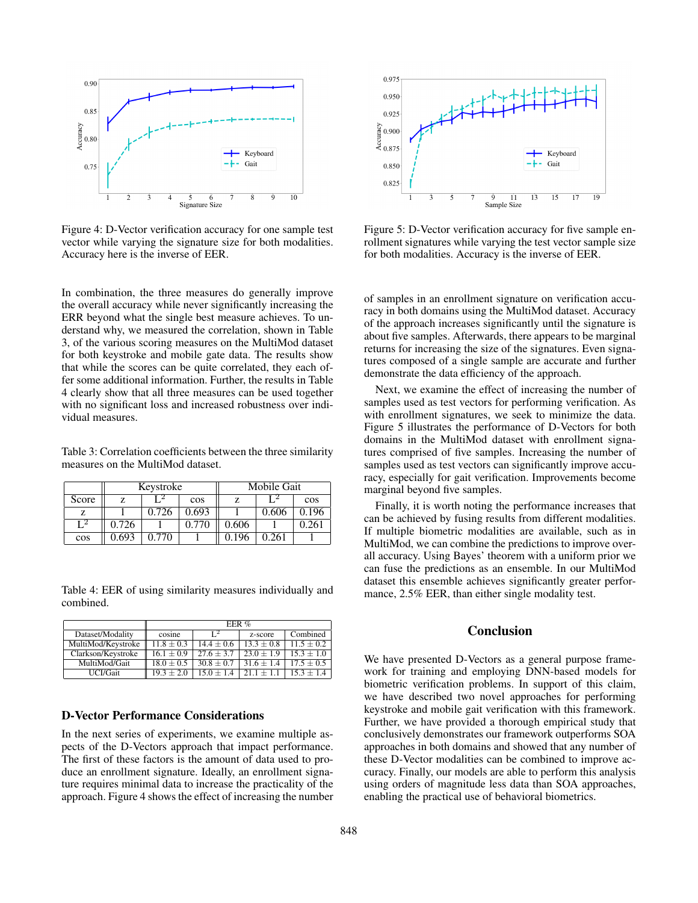

Figure 4: D-Vector verification accuracy for one sample test vector while varying the signature size for both modalities. Accuracy here is the inverse of EER.

In combination, the three measures do generally improve the overall accuracy while never significantly increasing the ERR beyond what the single best measure achieves. To understand why, we measured the correlation, shown in Table 3, of the various scoring measures on the MultiMod dataset for both keystroke and mobile gate data. The results show that while the scores can be quite correlated, they each offer some additional information. Further, the results in Table 4 clearly show that all three measures can be used together with no significant loss and increased robustness over individual measures.

Table 3: Correlation coefficients between the three similarity measures on the MultiMod dataset.

|       | Keystroke |       |       | Mobile Gait |       |       |
|-------|-----------|-------|-------|-------------|-------|-------|
| Score |           |       | cos   |             |       | cos   |
|       |           | 0.726 | 0.693 |             | 0.606 | 0.196 |
| r 2   | 0.726     |       | 0.770 | 0.606       |       | 0.261 |
| cos   | 0.693     | 0.770 |       | 0.196       | 0.261 |       |

Table 4: EER of using similarity measures individually and combined.

|                    | EER $%$        |                |               |              |
|--------------------|----------------|----------------|---------------|--------------|
| Dataset/Modality   | cosine         | $1^2$          | z-score       | Combined     |
| MultiMod/Keystroke | $11.8 \pm 0.3$ | $14.4 \pm 0.6$ | $13.3 + 0.8$  | $11.5 + 0.2$ |
| Clarkson/Keystroke | $16.1 \pm 0.9$ | $27.6 + 3.7$   | $23.0 + 1.9$  | $15.3 + 1.0$ |
| MultiMod/Gait      | $18.0 \pm 0.5$ | $30.8 \pm 0.7$ | $131.6 + 1.4$ | $17.5 + 0.5$ |
| UCI/Gait           | $19.3 + 2.0$   | $15.0 + 1.4$   | $211 + 11$    | $15.3 + 1.4$ |

### D-Vector Performance Considerations

In the next series of experiments, we examine multiple aspects of the D-Vectors approach that impact performance. The first of these factors is the amount of data used to produce an enrollment signature. Ideally, an enrollment signature requires minimal data to increase the practicality of the approach. Figure 4 shows the effect of increasing the number



Figure 5: D-Vector verification accuracy for five sample enrollment signatures while varying the test vector sample size for both modalities. Accuracy is the inverse of EER.

of samples in an enrollment signature on verification accuracy in both domains using the MultiMod dataset. Accuracy of the approach increases significantly until the signature is about five samples. Afterwards, there appears to be marginal returns for increasing the size of the signatures. Even signatures composed of a single sample are accurate and further demonstrate the data efficiency of the approach.

Next, we examine the effect of increasing the number of samples used as test vectors for performing verification. As with enrollment signatures, we seek to minimize the data. Figure 5 illustrates the performance of D-Vectors for both domains in the MultiMod dataset with enrollment signatures comprised of five samples. Increasing the number of samples used as test vectors can significantly improve accuracy, especially for gait verification. Improvements become marginal beyond five samples.

Finally, it is worth noting the performance increases that can be achieved by fusing results from different modalities. If multiple biometric modalities are available, such as in MultiMod, we can combine the predictions to improve overall accuracy. Using Bayes' theorem with a uniform prior we can fuse the predictions as an ensemble. In our MultiMod dataset this ensemble achieves significantly greater performance,  $2.5\%$  EER, than either single modality test.

## Conclusion

We have presented D-Vectors as a general purpose framework for training and employing DNN-based models for biometric verification problems. In support of this claim, we have described two novel approaches for performing keystroke and mobile gait verification with this framework. Further, we have provided a thorough empirical study that conclusively demonstrates our framework outperforms SOA approaches in both domains and showed that any number of these D-Vector modalities can be combined to improve accuracy. Finally, our models are able to perform this analysis using orders of magnitude less data than SOA approaches, enabling the practical use of behavioral biometrics.